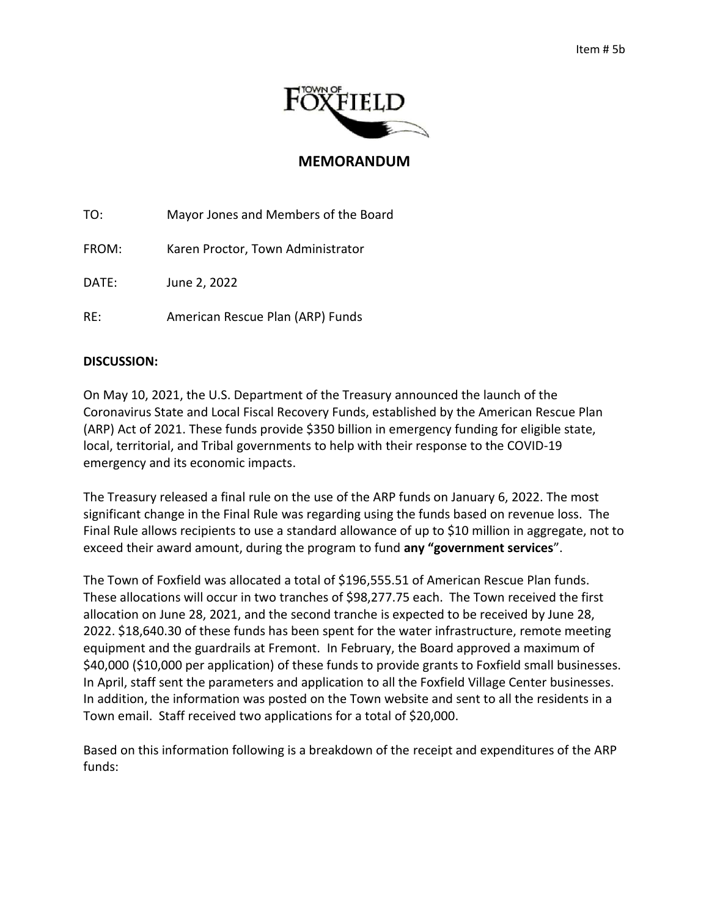

## **MEMORANDUM**

TO: Mayor Jones and Members of the Board

FROM: Karen Proctor, Town Administrator

DATE: June 2, 2022

RE: American Rescue Plan (ARP) Funds

## **DISCUSSION:**

On May 10, 2021, the U.S. Department of the Treasury announced the launch of the Coronavirus State and Local Fiscal Recovery Funds, established by the American Rescue Plan (ARP) Act of 2021. These funds provide \$350 billion in emergency funding for eligible state, local, territorial, and Tribal governments to help with their response to the COVID-19 emergency and its economic impacts.

The Treasury released a final rule on the use of the ARP funds on January 6, 2022. The most significant change in the Final Rule was regarding using the funds based on revenue loss. The Final Rule allows recipients to use a standard allowance of up to \$10 million in aggregate, not to exceed their award amount, during the program to fund **any "government services**".

The Town of Foxfield was allocated a total of \$196,555.51 of American Rescue Plan funds. These allocations will occur in two tranches of \$98,277.75 each. The Town received the first allocation on June 28, 2021, and the second tranche is expected to be received by June 28, 2022. \$18,640.30 of these funds has been spent for the water infrastructure, remote meeting equipment and the guardrails at Fremont. In February, the Board approved a maximum of \$40,000 (\$10,000 per application) of these funds to provide grants to Foxfield small businesses. In April, staff sent the parameters and application to all the Foxfield Village Center businesses. In addition, the information was posted on the Town website and sent to all the residents in a Town email. Staff received two applications for a total of \$20,000.

Based on this information following is a breakdown of the receipt and expenditures of the ARP funds: